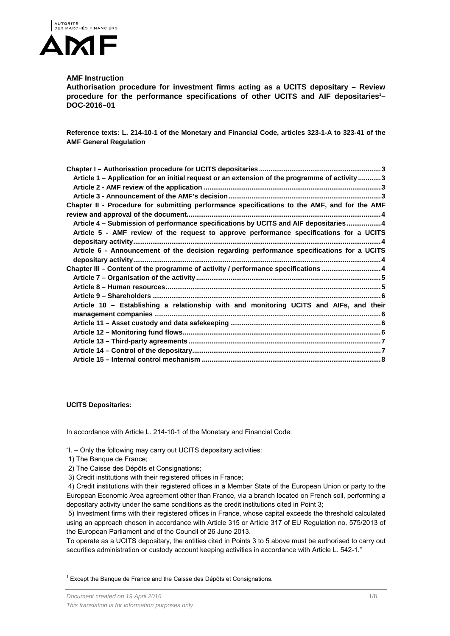

# **AMF Instruction**

**Authorisation procedure for investment firms acting as a UCITS depositary – Review**  procedure for the performance specifications of other UCITS and AIF depositaries<sup>1</sup>-**DOC-2016–01** 

**Reference texts: L. 214-10-1 of the Monetary and Financial Code, articles 323-1-A to 323-41 of the AMF General Regulation** 

| Article 1 - Application for an initial request or an extension of the programme of activity  3 |
|------------------------------------------------------------------------------------------------|
|                                                                                                |
|                                                                                                |
| Chapter II - Procedure for submitting performance specifications to the AMF, and for the AMF   |
|                                                                                                |
| Article 4 - Submission of performance specifications by UCITS and AIF depositaries4            |
| Article 5 - AMF review of the request to approve performance specifications for a UCITS        |
|                                                                                                |
| Article 6 - Announcement of the decision regarding performance specifications for a UCITS      |
|                                                                                                |
| Chapter III - Content of the programme of activity / performance specifications 4              |
|                                                                                                |
|                                                                                                |
|                                                                                                |
| Article 10 - Establishing a relationship with and monitoring UCITS and AIFs, and their         |
|                                                                                                |
|                                                                                                |
|                                                                                                |
|                                                                                                |
|                                                                                                |
|                                                                                                |

**UCITS Depositaries:** 

In accordance with Article L. 214-10-1 of the Monetary and Financial Code:

"I. – Only the following may carry out UCITS depositary activities:

1) The Banque de France;

l

2) The Caisse des Dépôts et Consignations;

3) Credit institutions with their registered offices in France;

 4) Credit institutions with their registered offices in a Member State of the European Union or party to the European Economic Area agreement other than France, via a branch located on French soil, performing a depositary activity under the same conditions as the credit institutions cited in Point 3;

 5) Investment firms with their registered offices in France, whose capital exceeds the threshold calculated using an approach chosen in accordance with Article 315 or Article 317 of EU Regulation no. 575/2013 of the European Parliament and of the Council of 26 June 2013.

To operate as a UCITS depositary, the entities cited in Points 3 to 5 above must be authorised to carry out securities administration or custody account keeping activities in accordance with Article L. 542-1."

 $1$  Except the Banque de France and the Caisse des Dépôts et Consignations.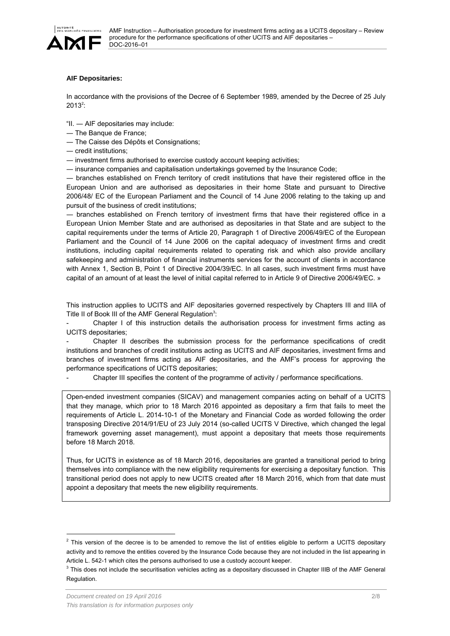

# **AIF Depositaries:**

In accordance with the provisions of the Decree of 6 September 1989, amended by the Decree of 25 July  $2013^2$ :

"II. ― AIF depositaries may include:

- ― The Banque de France;
- ― The Caisse des Dépôts et Consignations;
- ― credit institutions;

― investment firms authorised to exercise custody account keeping activities;

― insurance companies and capitalisation undertakings governed by the Insurance Code;

― branches established on French territory of credit institutions that have their registered office in the European Union and are authorised as depositaries in their home State and pursuant to Directive 2006/48/ EC of the European Parliament and the Council of 14 June 2006 relating to the taking up and pursuit of the business of credit institutions;

― branches established on French territory of investment firms that have their registered office in a European Union Member State and are authorised as depositaries in that State and are subject to the capital requirements under the terms of Article 20, Paragraph 1 of Directive 2006/49/EC of the European Parliament and the Council of 14 June 2006 on the capital adequacy of investment firms and credit institutions, including capital requirements related to operating risk and which also provide ancillary safekeeping and administration of financial instruments services for the account of clients in accordance with Annex 1, Section B, Point 1 of Directive 2004/39/EC. In all cases, such investment firms must have capital of an amount of at least the level of initial capital referred to in Article 9 of Directive 2006/49/EC. »

This instruction applies to UCITS and AIF depositaries governed respectively by Chapters III and IIIA of Title II of Book III of the AMF General Regulation<sup>3</sup>:

Chapter I of this instruction details the authorisation process for investment firms acting as UCITS depositaries;

- Chapter II describes the submission process for the performance specifications of credit institutions and branches of credit institutions acting as UCITS and AIF depositaries, investment firms and branches of investment firms acting as AIF depositaries, and the AMF's process for approving the performance specifications of UCITS depositaries;

Chapter III specifies the content of the programme of activity / performance specifications.

Open-ended investment companies (SICAV) and management companies acting on behalf of a UCITS that they manage, which prior to 18 March 2016 appointed as depositary a firm that fails to meet the requirements of Article L. 2014-10-1 of the Monetary and Financial Code as worded following the order transposing Directive 2014/91/EU of 23 July 2014 (so-called UCITS V Directive, which changed the legal framework governing asset management), must appoint a depositary that meets those requirements before 18 March 2018.

Thus, for UCITS in existence as of 18 March 2016, depositaries are granted a transitional period to bring themselves into compliance with the new eligibility requirements for exercising a depositary function. This transitional period does not apply to new UCITS created after 18 March 2016, which from that date must appoint a depositary that meets the new eligibility requirements.

l

 $<sup>2</sup>$  This version of the decree is to be amended to remove the list of entities eligible to perform a UCITS depositary</sup> activity and to remove the entities covered by the Insurance Code because they are not included in the list appearing in Article L. 542-1 which cites the persons authorised to use a custody account keeper.

 $3$  This does not include the securitisation vehicles acting as a depositary discussed in Chapter IIIB of the AMF General Regulation.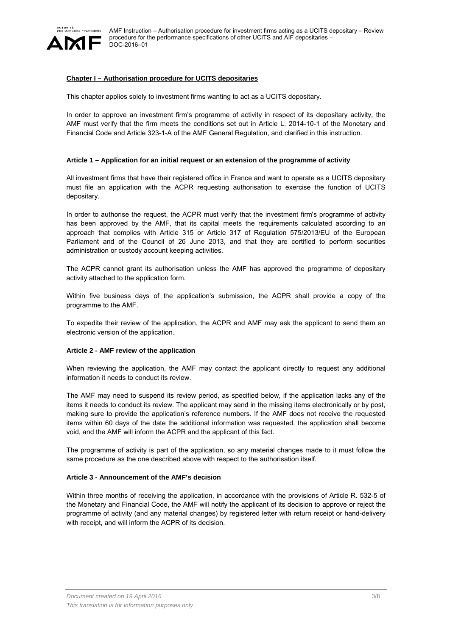

# **Chapter I – Authorisation procedure for UCITS depositaries**

This chapter applies solely to investment firms wanting to act as a UCITS depositary.

In order to approve an investment firm's programme of activity in respect of its depositary activity, the AMF must verify that the firm meets the conditions set out in Article L. 2014-10-1 of the Monetary and Financial Code and Article 323-1-A of the AMF General Regulation, and clarified in this instruction.

#### **Article 1 – Application for an initial request or an extension of the programme of activity**

All investment firms that have their registered office in France and want to operate as a UCITS depositary must file an application with the ACPR requesting authorisation to exercise the function of UCITS depositary.

In order to authorise the request, the ACPR must verify that the investment firm's programme of activity has been approved by the AMF, that its capital meets the requirements calculated according to an approach that complies with Article 315 or Article 317 of Regulation 575/2013/EU of the European Parliament and of the Council of 26 June 2013, and that they are certified to perform securities administration or custody account keeping activities.

The ACPR cannot grant its authorisation unless the AMF has approved the programme of depositary activity attached to the application form.

Within five business days of the application's submission, the ACPR shall provide a copy of the programme to the AMF.

To expedite their review of the application, the ACPR and AMF may ask the applicant to send them an electronic version of the application.

## **Article 2 - AMF review of the application**

When reviewing the application, the AMF may contact the applicant directly to request any additional information it needs to conduct its review.

The AMF may need to suspend its review period, as specified below, if the application lacks any of the items it needs to conduct its review. The applicant may send in the missing items electronically or by post, making sure to provide the application's reference numbers. If the AMF does not receive the requested items within 60 days of the date the additional information was requested, the application shall become void, and the AMF will inform the ACPR and the applicant of this fact.

The programme of activity is part of the application, so any material changes made to it must follow the same procedure as the one described above with respect to the authorisation itself.

#### **Article 3 - Announcement of the AMF's decision**

Within three months of receiving the application, in accordance with the provisions of Article R. 532-5 of the Monetary and Financial Code, the AMF will notify the applicant of its decision to approve or reject the programme of activity (and any material changes) by registered letter with return receipt or hand-delivery with receipt, and will inform the ACPR of its decision.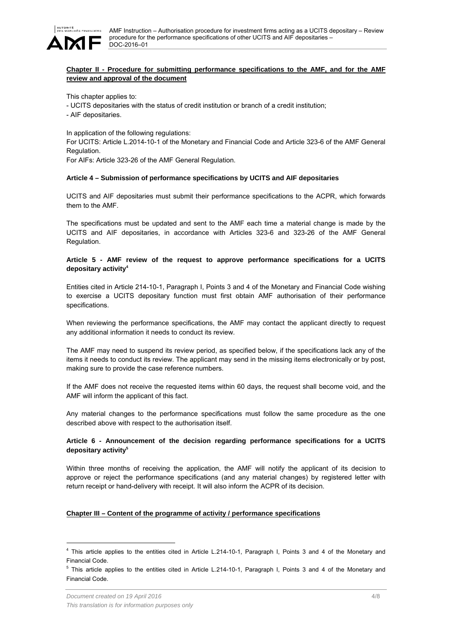

# **Chapter II - Procedure for submitting performance specifications to the AMF, and for the AMF review and approval of the document**

This chapter applies to:

- UCITS depositaries with the status of credit institution or branch of a credit institution;
- AIF depositaries.

In application of the following regulations:

For UCITS: Article L.2014-10-1 of the Monetary and Financial Code and Article 323-6 of the AMF General Regulation.

For AIFs: Article 323-26 of the AMF General Regulation.

#### **Article 4 – Submission of performance specifications by UCITS and AIF depositaries**

UCITS and AIF depositaries must submit their performance specifications to the ACPR, which forwards them to the AMF.

The specifications must be updated and sent to the AMF each time a material change is made by the UCITS and AIF depositaries, in accordance with Articles 323-6 and 323-26 of the AMF General Regulation.

## **Article 5 - AMF review of the request to approve performance specifications for a UCITS depositary activity4**

Entities cited in Article 214-10-1, Paragraph I, Points 3 and 4 of the Monetary and Financial Code wishing to exercise a UCITS depositary function must first obtain AMF authorisation of their performance specifications.

When reviewing the performance specifications, the AMF may contact the applicant directly to request any additional information it needs to conduct its review.

The AMF may need to suspend its review period, as specified below, if the specifications lack any of the items it needs to conduct its review. The applicant may send in the missing items electronically or by post, making sure to provide the case reference numbers.

If the AMF does not receive the requested items within 60 days, the request shall become void, and the AMF will inform the applicant of this fact.

Any material changes to the performance specifications must follow the same procedure as the one described above with respect to the authorisation itself.

## **Article 6 - Announcement of the decision regarding performance specifications for a UCITS depositary activity5**

Within three months of receiving the application, the AMF will notify the applicant of its decision to approve or reject the performance specifications (and any material changes) by registered letter with return receipt or hand-delivery with receipt. It will also inform the ACPR of its decision.

## **Chapter III – Content of the programme of activity / performance specifications**

l

<sup>&</sup>lt;sup>4</sup> This article applies to the entities cited in Article L.214-10-1, Paragraph I, Points 3 and 4 of the Monetary and Financial Code.

<sup>&</sup>lt;sup>5</sup> This article applies to the entities cited in Article L.214-10-1, Paragraph I, Points 3 and 4 of the Monetary and Financial Code.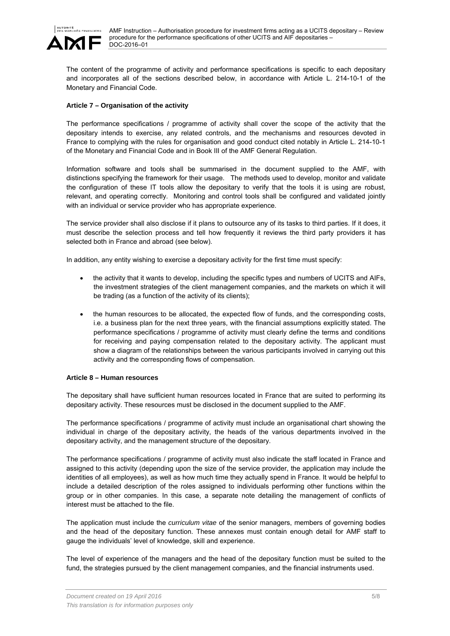

The content of the programme of activity and performance specifications is specific to each depositary and incorporates all of the sections described below, in accordance with Article L. 214-10-1 of the Monetary and Financial Code.

# **Article 7 – Organisation of the activity**

The performance specifications / programme of activity shall cover the scope of the activity that the depositary intends to exercise, any related controls, and the mechanisms and resources devoted in France to complying with the rules for organisation and good conduct cited notably in Article L. 214-10-1 of the Monetary and Financial Code and in Book III of the AMF General Regulation.

Information software and tools shall be summarised in the document supplied to the AMF, with distinctions specifying the framework for their usage. The methods used to develop, monitor and validate the configuration of these IT tools allow the depositary to verify that the tools it is using are robust, relevant, and operating correctly. Monitoring and control tools shall be configured and validated jointly with an individual or service provider who has appropriate experience.

The service provider shall also disclose if it plans to outsource any of its tasks to third parties. If it does, it must describe the selection process and tell how frequently it reviews the third party providers it has selected both in France and abroad (see below).

In addition, any entity wishing to exercise a depositary activity for the first time must specify:

- the activity that it wants to develop, including the specific types and numbers of UCITS and AIFs, the investment strategies of the client management companies, and the markets on which it will be trading (as a function of the activity of its clients);
- the human resources to be allocated, the expected flow of funds, and the corresponding costs, i.e. a business plan for the next three years, with the financial assumptions explicitly stated. The performance specifications / programme of activity must clearly define the terms and conditions for receiving and paying compensation related to the depositary activity. The applicant must show a diagram of the relationships between the various participants involved in carrying out this activity and the corresponding flows of compensation.

#### **Article 8 – Human resources**

The depositary shall have sufficient human resources located in France that are suited to performing its depositary activity. These resources must be disclosed in the document supplied to the AMF.

The performance specifications / programme of activity must include an organisational chart showing the individual in charge of the depositary activity, the heads of the various departments involved in the depositary activity, and the management structure of the depositary.

The performance specifications / programme of activity must also indicate the staff located in France and assigned to this activity (depending upon the size of the service provider, the application may include the identities of all employees), as well as how much time they actually spend in France. It would be helpful to include a detailed description of the roles assigned to individuals performing other functions within the group or in other companies. In this case, a separate note detailing the management of conflicts of interest must be attached to the file.

The application must include the *curriculum vitae* of the senior managers, members of governing bodies and the head of the depositary function. These annexes must contain enough detail for AMF staff to gauge the individuals' level of knowledge, skill and experience.

The level of experience of the managers and the head of the depositary function must be suited to the fund, the strategies pursued by the client management companies, and the financial instruments used.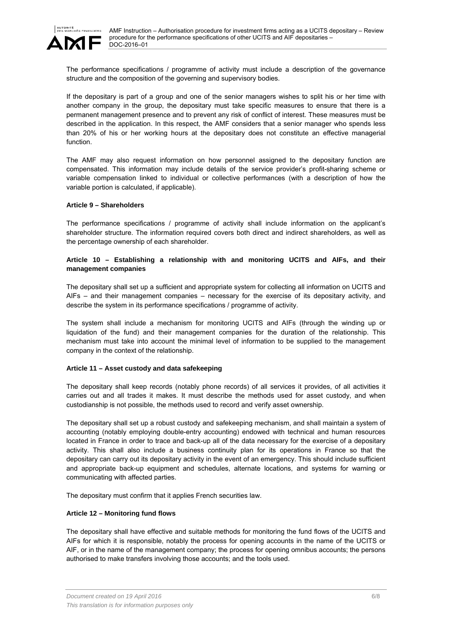

The performance specifications / programme of activity must include a description of the governance structure and the composition of the governing and supervisory bodies.

If the depositary is part of a group and one of the senior managers wishes to split his or her time with another company in the group, the depositary must take specific measures to ensure that there is a permanent management presence and to prevent any risk of conflict of interest. These measures must be described in the application. In this respect, the AMF considers that a senior manager who spends less than 20% of his or her working hours at the depositary does not constitute an effective managerial function.

The AMF may also request information on how personnel assigned to the depositary function are compensated. This information may include details of the service provider's profit-sharing scheme or variable compensation linked to individual or collective performances (with a description of how the variable portion is calculated, if applicable).

#### **Article 9 – Shareholders**

The performance specifications / programme of activity shall include information on the applicant's shareholder structure. The information required covers both direct and indirect shareholders, as well as the percentage ownership of each shareholder.

# **Article 10 – Establishing a relationship with and monitoring UCITS and AIFs, and their management companies**

The depositary shall set up a sufficient and appropriate system for collecting all information on UCITS and AIFs – and their management companies – necessary for the exercise of its depositary activity, and describe the system in its performance specifications / programme of activity.

The system shall include a mechanism for monitoring UCITS and AIFs (through the winding up or liquidation of the fund) and their management companies for the duration of the relationship. This mechanism must take into account the minimal level of information to be supplied to the management company in the context of the relationship.

## **Article 11 – Asset custody and data safekeeping**

The depositary shall keep records (notably phone records) of all services it provides, of all activities it carries out and all trades it makes. It must describe the methods used for asset custody, and when custodianship is not possible, the methods used to record and verify asset ownership.

The depositary shall set up a robust custody and safekeeping mechanism, and shall maintain a system of accounting (notably employing double-entry accounting) endowed with technical and human resources located in France in order to trace and back-up all of the data necessary for the exercise of a depositary activity. This shall also include a business continuity plan for its operations in France so that the depositary can carry out its depositary activity in the event of an emergency. This should include sufficient and appropriate back-up equipment and schedules, alternate locations, and systems for warning or communicating with affected parties.

The depositary must confirm that it applies French securities law.

## **Article 12 – Monitoring fund flows**

The depositary shall have effective and suitable methods for monitoring the fund flows of the UCITS and AIFs for which it is responsible, notably the process for opening accounts in the name of the UCITS or AIF, or in the name of the management company; the process for opening omnibus accounts; the persons authorised to make transfers involving those accounts; and the tools used.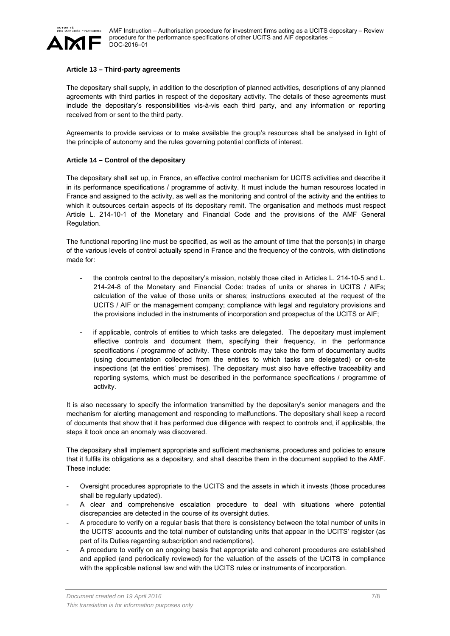

#### **Article 13 – Third-party agreements**

The depositary shall supply, in addition to the description of planned activities, descriptions of any planned agreements with third parties in respect of the depositary activity. The details of these agreements must include the depositary's responsibilities vis-à-vis each third party, and any information or reporting received from or sent to the third party.

Agreements to provide services or to make available the group's resources shall be analysed in light of the principle of autonomy and the rules governing potential conflicts of interest.

#### **Article 14 – Control of the depositary**

The depositary shall set up, in France, an effective control mechanism for UCITS activities and describe it in its performance specifications / programme of activity. It must include the human resources located in France and assigned to the activity, as well as the monitoring and control of the activity and the entities to which it outsources certain aspects of its depositary remit. The organisation and methods must respect Article L. 214-10-1 of the Monetary and Financial Code and the provisions of the AMF General Regulation.

The functional reporting line must be specified, as well as the amount of time that the person(s) in charge of the various levels of control actually spend in France and the frequency of the controls, with distinctions made for:

- the controls central to the depositary's mission, notably those cited in Articles L. 214-10-5 and L. 214-24-8 of the Monetary and Financial Code: trades of units or shares in UCITS / AIFs; calculation of the value of those units or shares; instructions executed at the request of the UCITS / AIF or the management company; compliance with legal and regulatory provisions and the provisions included in the instruments of incorporation and prospectus of the UCITS or AIF;
- if applicable, controls of entities to which tasks are delegated. The depositary must implement effective controls and document them, specifying their frequency, in the performance specifications / programme of activity. These controls may take the form of documentary audits (using documentation collected from the entities to which tasks are delegated) or on-site inspections (at the entities' premises). The depositary must also have effective traceability and reporting systems, which must be described in the performance specifications / programme of activity.

It is also necessary to specify the information transmitted by the depositary's senior managers and the mechanism for alerting management and responding to malfunctions. The depositary shall keep a record of documents that show that it has performed due diligence with respect to controls and, if applicable, the steps it took once an anomaly was discovered.

The depositary shall implement appropriate and sufficient mechanisms, procedures and policies to ensure that it fulfils its obligations as a depositary, and shall describe them in the document supplied to the AMF. These include:

- Oversight procedures appropriate to the UCITS and the assets in which it invests (those procedures shall be regularly updated).
- A clear and comprehensive escalation procedure to deal with situations where potential discrepancies are detected in the course of its oversight duties.
- A procedure to verify on a regular basis that there is consistency between the total number of units in the UCITS' accounts and the total number of outstanding units that appear in the UCITS' register (as part of its Duties regarding subscription and redemptions).
- A procedure to verify on an ongoing basis that appropriate and coherent procedures are established and applied (and periodically reviewed) for the valuation of the assets of the UCITS in compliance with the applicable national law and with the UCITS rules or instruments of incorporation.